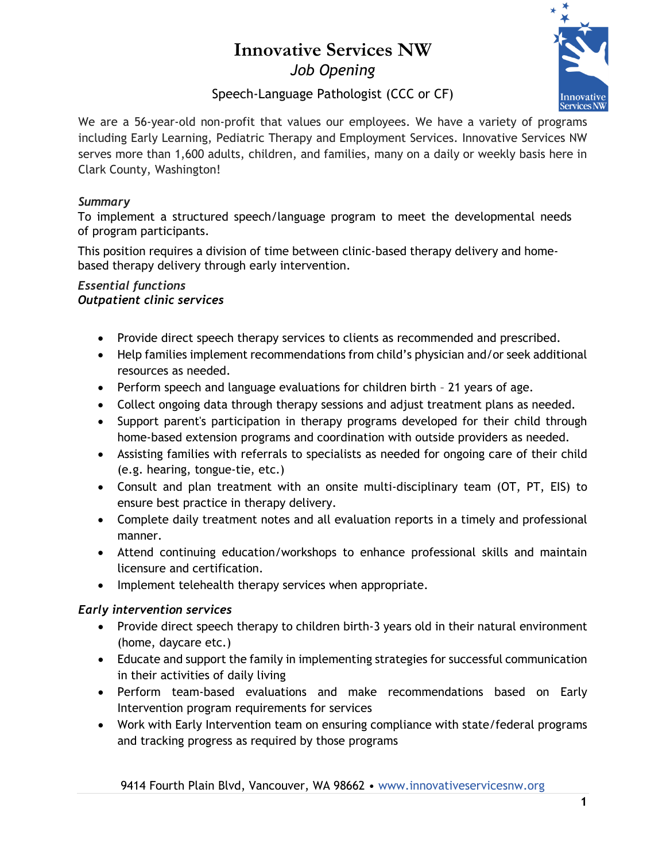# **Innovative Services NW** *Job Opening*



# Speech-Language Pathologist (CCC or CF)

We are a 56-year-old non-profit that values our employees. We have a variety of programs including Early Learning, Pediatric Therapy and Employment Services. Innovative Services NW serves more than 1,600 adults, children, and families, many on a daily or weekly basis here in Clark County, Washington!

#### *Summary*

To implement a structured speech/language program to meet the developmental needs of program participants.

This position requires a division of time between clinic-based therapy delivery and homebased therapy delivery through early intervention.

#### *Essential functions Outpatient clinic services*

- Provide direct speech therapy services to clients as recommended and prescribed.
- Help families implement recommendations from child's physician and/or seek additional resources as needed.
- Perform speech and language evaluations for children birth 21 years of age.
- Collect ongoing data through therapy sessions and adjust treatment plans as needed.
- Support parent's participation in therapy programs developed for their child through home-based extension programs and coordination with outside providers as needed.
- Assisting families with referrals to specialists as needed for ongoing care of their child (e.g. hearing, tongue-tie, etc.)
- Consult and plan treatment with an onsite multi-disciplinary team (OT, PT, EIS) to ensure best practice in therapy delivery.
- Complete daily treatment notes and all evaluation reports in a timely and professional manner.
- Attend continuing education/workshops to enhance professional skills and maintain licensure and certification.
- Implement telehealth therapy services when appropriate.

## *Early intervention services*

- Provide direct speech therapy to children birth-3 years old in their natural environment (home, daycare etc.)
- Educate and support the family in implementing strategies for successful communication in their activities of daily living
- Perform team-based evaluations and make recommendations based on Early Intervention program requirements for services
- Work with Early Intervention team on ensuring compliance with state/federal programs and tracking progress as required by those programs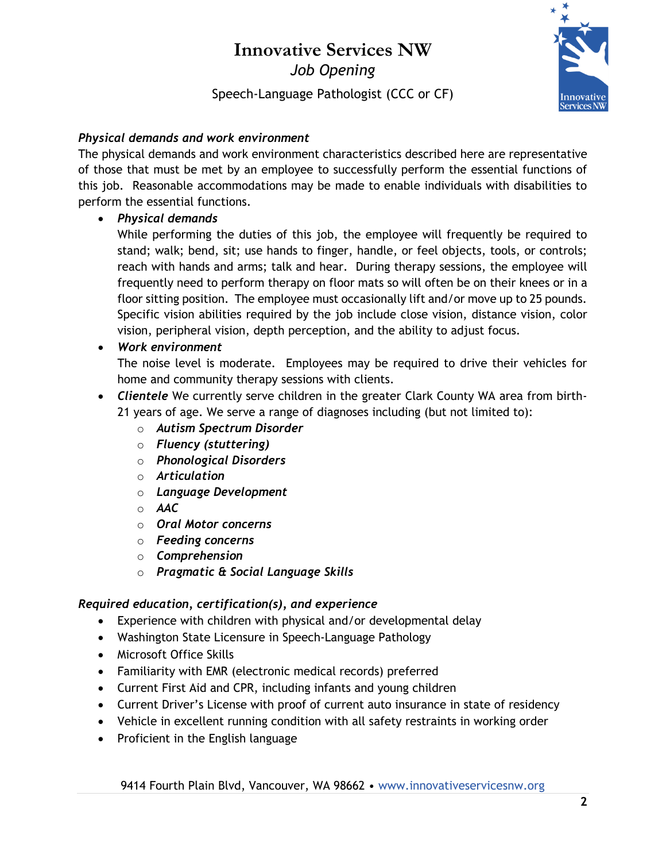# **Innovative Services NW** *Job Opening*

Speech-Language Pathologist (CCC or CF)



## *Physical demands and work environment*

The physical demands and work environment characteristics described here are representative of those that must be met by an employee to successfully perform the essential functions of this job. Reasonable accommodations may be made to enable individuals with disabilities to perform the essential functions.

## • *Physical demands*

While performing the duties of this job, the employee will frequently be required to stand; walk; bend, sit; use hands to finger, handle, or feel objects, tools, or controls; reach with hands and arms; talk and hear. During therapy sessions, the employee will frequently need to perform therapy on floor mats so will often be on their knees or in a floor sitting position. The employee must occasionally lift and/or move up to 25 pounds. Specific vision abilities required by the job include close vision, distance vision, color vision, peripheral vision, depth perception, and the ability to adjust focus.

## • *Work environment*

The noise level is moderate. Employees may be required to drive their vehicles for home and community therapy sessions with clients.

- *Clientele* We currently serve children in the greater Clark County WA area from birth-
	- 21 years of age. We serve a range of diagnoses including (but not limited to):
		- o *Autism Spectrum Disorder*
		- o *Fluency (stuttering)*
		- o *Phonological Disorders*
		- o *Articulation*
		- o *Language Development*
		- o *AAC*
		- o *Oral Motor concerns*
		- o *Feeding concerns*
		- o *Comprehension*
		- o *Pragmatic & Social Language Skills*

#### *Required education, certification(s), and experience*

- Experience with children with physical and/or developmental delay
- Washington State Licensure in Speech-Language Pathology
- Microsoft Office Skills
- Familiarity with EMR (electronic medical records) preferred
- Current First Aid and CPR, including infants and young children
- Current Driver's License with proof of current auto insurance in state of residency
- Vehicle in excellent running condition with all safety restraints in working order
- Proficient in the English language